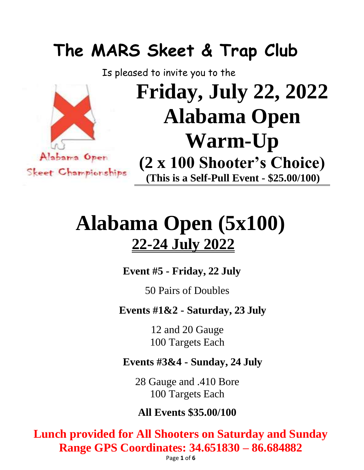# **The MARS Skeet & Trap Club**

Is pleased to invite you to the



# **Friday, July 22, 2022 Alabama Open Warm-Up (2 x 100 Shooter's Choice) (This is a Self-Pull Event - \$25.00/100)**

# **Alabama Open (5x100) 22-24 July 2022**

**Event #5 - Friday, 22 July**

50 Pairs of Doubles

**Events #1&2 - Saturday, 23 July**

12 and 20 Gauge 100 Targets Each

## **Events #3&4 - Sunday, 24 July**

28 Gauge and .410 Bore 100 Targets Each

## **All Events \$35.00/100**

**Lunch provided for All Shooters on Saturday and Sunday Range GPS Coordinates: 34.651830 – 86.684882**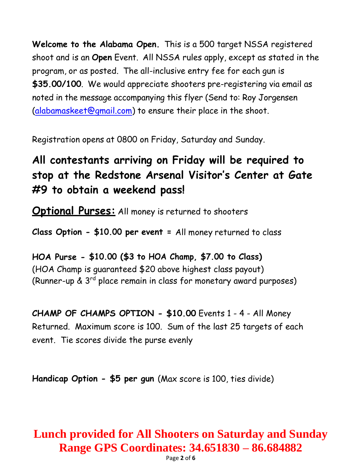**Welcome to the Alabama Open.** This is a 500 target NSSA registered shoot and is an **Open** Event. All NSSA rules apply, except as stated in the program, or as posted. The all-inclusive entry fee for each gun is **\$35.00/100**. We would appreciate shooters pre-registering via email as noted in the message accompanying this flyer (Send to: Roy Jorgensen [\(alabamaskeet@gmail.com\)](mailto:alabamaskeet@gmail.com) to ensure their place in the shoot.

Registration opens at 0800 on Friday, Saturday and Sunday.

## **All contestants arriving on Friday will be required to stop at the Redstone Arsenal Visitor's Center at Gate #9 to obtain a weekend pass!**

**Optional Purses:** All money is returned to shooters

**Class Option - \$10.00 per event =** All money returned to class

**HOA Purse - \$10.00 (\$3 to HOA Champ, \$7.00 to Class)** (HOA Champ is guaranteed \$20 above highest class payout) (Runner-up & 3rd place remain in class for monetary award purposes)

**CHAMP OF CHAMPS OPTION - \$10.00** Events 1 - 4 - All Money Returned. Maximum score is 100. Sum of the last 25 targets of each event. Tie scores divide the purse evenly

**Handicap Option - \$5 per gun** (Max score is 100, ties divide)

## **Lunch provided for All Shooters on Saturday and Sunday Range GPS Coordinates: 34.651830 – 86.684882**

Page **2** of **6**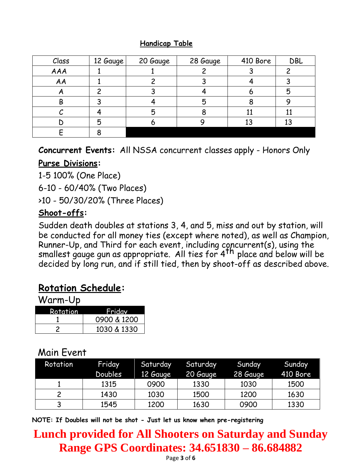### **Handicap Table**

| Class | 12 Gauge | 20 Gauge | 28 Gauge | 410 Bore | DBL |
|-------|----------|----------|----------|----------|-----|
| AAA   |          |          |          |          |     |
| AA    |          |          |          |          |     |
|       |          |          |          |          | Ⴌ   |
| B     |          |          |          |          |     |
|       |          | 5        |          |          |     |
|       | 5        |          |          |          | 13  |
|       |          |          |          |          |     |

**Concurrent Events:** All NSSA concurrent classes apply - Honors Only

## **Purse Divisions:**

1-5 100% (One Place)

6-10 - 60/40% (Two Places)

>10 - 50/30/20% (Three Places)

## **Shoot-offs:**

Sudden death doubles at stations 3, 4, and 5, miss and out by station, will be conducted for all money ties (except where noted), as well as Champion, Runner-Up, and Third for each event, including concurrent(s), using the runner by, and this for businessm, insideing others and below will be smallest gauge gun as appropriate. All ties for 4<sup>th</sup> place and below will be decided by long run, and if still tied, then by shoot-off as described above.

## **Rotation Schedule:**

Warm-Up

| Rotation | Fridav      |  |  |
|----------|-------------|--|--|
|          | 0900 & 1200 |  |  |
|          | 1030 & 1330 |  |  |

## Main Event

| Rotation | Friday<br>Doubles | Saturday<br>12 Gauge | Saturday<br>20 Gauge | Sunday<br>28 Gauge | Sunday<br>410 Bore |
|----------|-------------------|----------------------|----------------------|--------------------|--------------------|
|          | 1315              | 0900                 | 1330                 | 1030               | 1500               |
|          | 1430              | 1030                 | 1500                 | 1200               | 1630               |
| 3        | 1545              | 1200                 | 1630                 | 0900               | 1330               |

**NOTE: If Doubles will not be shot - Just let us know when pre-registering**

## **Lunch provided for All Shooters on Saturday and Sunday Range GPS Coordinates: 34.651830 – 86.684882**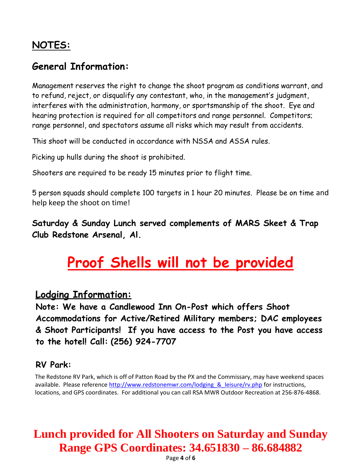## **NOTES:**

## **General Information:**

Management reserves the right to change the shoot program as conditions warrant, and to refund, reject, or disqualify any contestant, who, in the management's judgment, interferes with the administration, harmony, or sportsmanship of the shoot. Eye and hearing protection is required for all competitors and range personnel. Competitors; range personnel, and spectators assume all risks which may result from accidents.

This shoot will be conducted in accordance with NSSA and ASSA rules.

Picking up hulls during the shoot is prohibited.

Shooters are required to be ready 15 minutes prior to flight time.

5 person squads should complete 100 targets in 1 hour 20 minutes. Please be on time and help keep the shoot on time!

**Saturday & Sunday Lunch served complements of MARS Skeet & Trap Club Redstone Arsenal, Al.**

## **Proof Shells will not be provided**

### **Lodging Information:**

**Note: We have a Candlewood Inn On-Post which offers Shoot Accommodations for Active/Retired Military members; DAC employees & Shoot Participants! If you have access to the Post you have access to the hotel! Call: (256) 924-7707**

### **RV Park:**

 The Redstone RV Park, which is off of Patton Road by the PX and the Commissary, may have weekend spaces available. Please reference http://www.redstonemwr.com/lodging & leisure/rv.php for instructions, locations, and GPS coordinates. For additional you can call RSA MWR Outdoor Recreation at 256-876-4868.

## **Lunch provided for All Shooters on Saturday and Sunday Range GPS Coordinates: 34.651830 – 86.684882**

Page **4** of **6**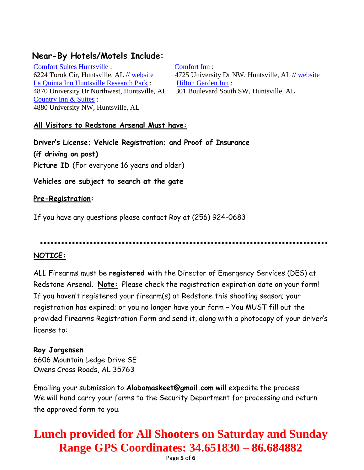### **Near-By Hotels/Motels Include:**

[Comfort Suites Huntsville](http://c.ypcdn.com/2/c/rtd?rid=af05e153-9567-4157-bd8c-33ee00f3b53b&ptid=whn32tnv4p&vrid=06cef69ee82bc5975af407a2e68d4e79&lid=1000371071386&lsrc=IY&ypid=483876217&tl=1600&dest=http%3A%2F%2Fwww.411.com%2Fbusiness%2Fdetails%3Fuid%3DC483876217) : [Comfort Inn](http://c.ypcdn.com/2/c/rtd?rid=af05e153-9567-4157-bd8c-33ee00f3b53b&ptid=whn32tnv4p&vrid=06cef69ee82bc5975af407a2e68d4e79&lid=1000371075836&lsrc=IY&ypid=483880960&tl=1600&dest=http%3A%2F%2Fwww.411.com%2Fbusiness%2Fdetails%3Fuid%3DC483880960) : [La Quinta Inn Huntsville Research Park](http://www.411.com/business/la-quinta-inn-huntsville-research-park-huntsville-al) : [Hilton Garden Inn](http://www.411.com/business/hilton-garden-inn-huntsville-al-2) : 4870 University Dr Northwest, Huntsville, AL 301 Boulevard South SW, Huntsville, AL [Country Inn & Suites](http://www.411.com/business/country-inn-suites-huntsville-al) : 4880 University NW, Huntsville, AL

6224 Torok Cir, Huntsville, AL // [website](http://c.ypcdn.com/2/c/rtd?rid=af05e153-9567-4157-bd8c-33ee00f3b53b&ptid=whn32tnv4p&vrid=06cef69ee82bc5975af407a2e68d4e79&lid=1000371071386&tl=6&lsrc=IY&ypid=483876217&dest=http%3A%2F%2Fwww.comfortsuites.com%2Fhotel-huntsville-alabama-AL196%3Fsource%3Dyplocalcs) 4725 University Dr NW, Huntsville, AL // [website](http://c.ypcdn.com/2/c/rtd?rid=af05e153-9567-4157-bd8c-33ee00f3b53b&ptid=whn32tnv4p&vrid=06cef69ee82bc5975af407a2e68d4e79&lid=1000371075836&tl=6&lsrc=IY&ypid=483880960&dest=http%3A%2F%2Fwww.comfortinn.com%2Fhotel-huntsville-alabama-AL239%3Fsource%3Dyplocalci)

### **All Visitors to Redstone Arsenal Must have:**

**Driver's License; Vehicle Registration; and Proof of Insurance (if driving on post) Picture ID** (For everyone 16 years and older)

### **Vehicles are subject to search at the gate**

#### **Pre-Registration:**

If you have any questions please contact Roy at (256) 924-0683

### **NOTICE:**

ALL Firearms must be **registered** with the Director of Emergency Services (DES) at Redstone Arsenal. **Note:** Please check the registration expiration date on your form! If you haven't registered your firearm(s) at Redstone this shooting season; your registration has expired; or you no longer have your form – You MUST fill out the provided Firearms Registration Form and send it, along with a photocopy of your driver's license to:

### **Roy Jorgensen**

6606 Mountain Ledge Drive SE Owens Cross Roads, AL 35763

Emailing your submission to **Alabamaskeet@gmail.com** will expedite the process! We will hand carry your forms to the Security Department for processing and return the approved form to you.

## **Lunch provided for All Shooters on Saturday and Sunday Range GPS Coordinates: 34.651830 – 86.684882**